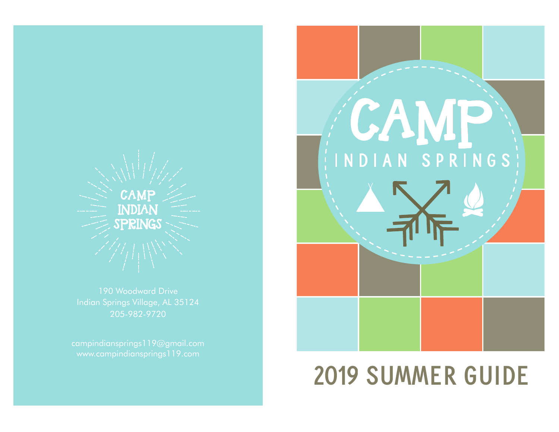

190 Woodward Drive Indian Springs Village, AL 35124 205-982-9720



# **2019 SUMMER GUIDE**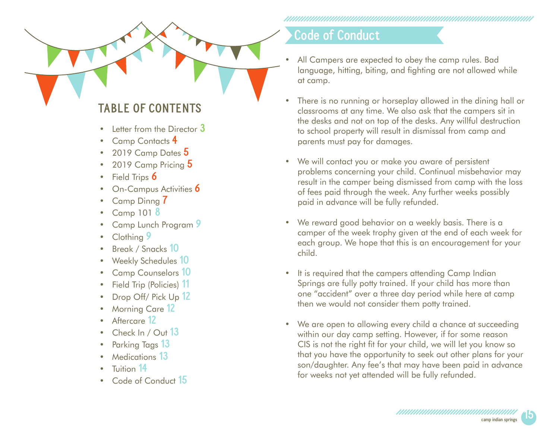**TABLE OF CONTENTS**

- Letter from the Director **3**
- Camp Contacts **4**
- 2019 Camp Dates **5**
- 2019 Camp Pricing **5**
- Field Trips **6**
- On-Campus Activities **6**
- Camp Dinng **7**
- Camp 101 **8**
- Camp Lunch Program **9**
- Clothing **9**
- Break / Snacks **10**
- Weekly Schedules **10**
- Camp Counselors **10**
- Field Trip (Policies) **11**
- Drop Off/ Pick Up **12**
- Morning Care **12**
- Aftercare **12**
- Check In / Out **13**
- Parking Tags **13**
- Medications **13**
- Tuition **14**
- Code of Conduct **15**

#### **Code of Conduct**

- All Campers are expected to obey the camp rules. Bad language, hitting, biting, and fighting are not allowed while at camp.
- There is no running or horseplay allowed in the dining hall or classrooms at any time. We also ask that the campers sit in the desks and not on top of the desks. Any willful destruction to school property will result in dismissal from camp and parents must pay for damages.
- We will contact you or make you aware of persistent problems concerning your child. Continual misbehavior may result in the camper being dismissed from camp with the loss of fees paid through the week. Any further weeks possibly paid in advance will be fully refunded.
- We reward good behavior on a weekly basis. There is a camper of the week trophy given at the end of each week for each group. We hope that this is an encouragement for your child.
- It is required that the campers attending Camp Indian Springs are fully potty trained. If your child has more than one "accident" over a three day period while here at camp then we would not consider them potty trained.
- We are open to allowing every child a chance at succeeding within our day camp setting. However, if for some reason CIS is not the right fit for your child, we will let you know so that you have the opportunity to seek out other plans for your son/daughter. Any fee's that may have been paid in advance for weeks not yet attended will be fully refunded.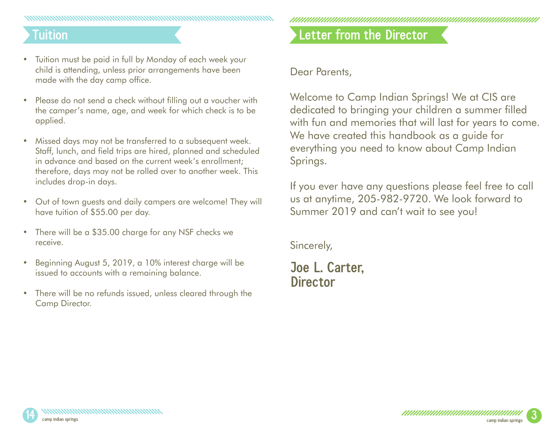### **Tuition**

- Tuition must be paid in full by Monday of each week your child is attending, unless prior arrangements have been made with the day camp office.
- Please do not send a check without filling out a voucher with the camper's name, age, and week for which check is to be applied.
- Missed days may not be transferred to a subsequent week. Staff, lunch, and field trips are hired, planned and scheduled in advance and based on the current week's enrollment; therefore, days may not be rolled over to another week. This includes drop-in days.
- Out of town guests and daily campers are welcome! They will have tuition of \$55.00 per day.
- There will be a \$35.00 charge for any NSF checks we receive.
- Beginning August 5, 2019, a 10% interest charge will be issued to accounts with a remaining balance.
- There will be no refunds issued, unless cleared through the Camp Director.

## **Letter from the Director**

#### Dear Parents,

Welcome to Camp Indian Springs! We at CIS are dedicated to bringing your children a summer filled with fun and memories that will last for years to come. We have created this handbook as a guide for everything you need to know about Camp Indian Springs.

If you ever have any questions please feel free to call us at anytime, 205-982-9720. We look forward to Summer 2019 and can't wait to see you!

Sincerely,

#### **Joe L. Carter, Director**



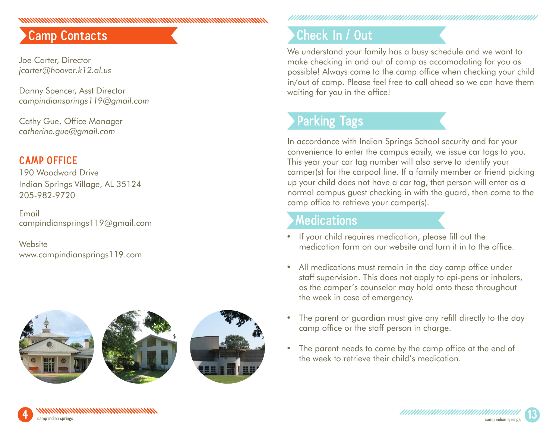## **Camp Contacts**

Joe Carter, Director *jcarter@hoover.k12.al.us*

Danny Spencer, Asst Director *campindiansprings119@gmail.com*

anana mahamana mahamana mahamana mahaman

Cathy Gue, Office Manager *catherine.gue@gmail.com*

#### **CAMP OFFICE**

190 Woodward Drive Indian Springs Village, AL 35124 205-982-9720

Email campindiansprings119@gmail.com

**Website** www.campindiansprings119.com



## **Check In / Out**

We understand your family has a busy schedule and we want to make checking in and out of camp as accomodating for you as possible! Always come to the camp office when checking your child in/out of camp. Please feel free to call ahead so we can have them waiting for you in the office!

## **Parking Tags**

In accordance with Indian Springs School security and for your convenience to enter the campus easily, we issue car tags to you. This year your car tag number will also serve to identify your camper(s) for the carpool line. If a family member or friend picking up your child does not have a car tag, that person will enter as a normal campus guest checking in with the guard, then come to the camp office to retrieve your camper(s).

#### **Medications**

- If your child requires medication, please fill out the medication form on our website and turn it in to the office.
- All medications must remain in the day camp office under staff supervision. This does not apply to epi-pens or inhalers, as the camper's counselor may hold onto these throughout the week in case of emergency.
- The parent or guardian must give any refill directly to the day camp office or the staff person in charge.
- The parent needs to come by the camp office at the end of the week to retrieve their child's medication.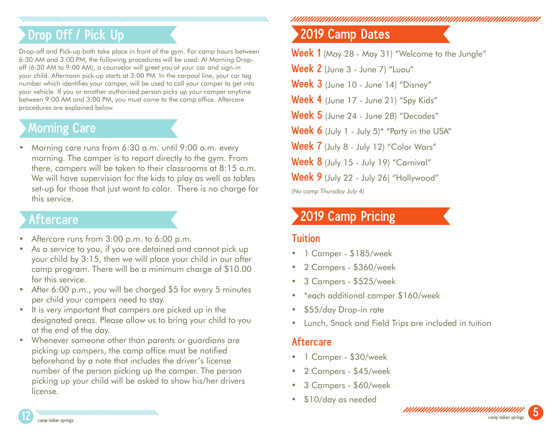#### 

## **Drop Off / Pick Up**

Drop-off and Pick-up both take place in front of the gym. For camp hours between 6:30 AM and 3:00 PM, the following procedures will be used: At Morning Dropoff (6:30 AM to 9:00 AM), a counselor will greet you at your car and sign-in your child. Afternoon pick-up starts at 3:00 PM. In the carpool line, your car tag number which identifies your camper, will be used to call your camper to get into your vehicle. If you or another authorized person picks up your camper anytime between 9:00 AM and 3:00 PM, you must come to the camp office. Aftercare procedures are explained below.

## **Morning Care**

• Morning care runs from 6:30 a.m. until 9:00 a.m. every morning. The camper is to report directly to the gym. From there, campers will be taken to their classrooms at 8:15 a.m. We will have supervision for the kids to play as well as tables set-up for those that just want to color. There is no charge for this service.

#### **Aftercare**

- Aftercare runs from 3:00 p.m. to 6:00 p.m.
- As a service to you, if you are detained and cannot pick up your child by 3:15, then we will place your child in our after camp program. There will be a minimum charge of \$10.00 for this service.
- After 6:00 p.m., you will be charged \$5 for every 5 minutes per child your campers need to stay.
- It is very important that campers are picked up in the designated areas. Please allow us to bring your child to you at the end of the day.
- Whenever someone other than parents or guardians are picking up campers, the camp office must be notified beforehand by a note that includes the driver's license number of the person picking up the camper. The person picking up your child will be asked to show his/her drivers license.

n manaraman manaraman manaraman manaraman manaraman

## **2019 Camp Dates**

**Week 1** (May 28 - May 31) "Welcome to the Jungle"

**Week 2** (June 3 - June 7) "Luau"

**Week 3** (June 10 - June 14) "Disney"

**Week 4** (June 17 - June 21) "Spy Kids"

**Week 5** (June 24 - June 28) "Decades"

**Week 6** (July 1 - July 5)\* "Party in the USA"

**Week 7** (July 8 - July 12) "Color Wars"

**Week 8** (July 15 - July 19) "Carnival"

**Week 9** (July 22 - July 26) "Hollywood"

*(No camp Thursday July 4)*

### **2019 Camp Pricing**

#### **Tuition**

- 1 Camper \$185/week
- 2 Campers \$360/week
- 3 Campers \$525/week
- \*each additional camper \$160/week
- \$55/day Drop-in rate
- Lunch, Snack and Field Trips are included in tuition

#### **Aftercare**

- 1 Camper \$30/week
- 2 Campers \$45/week
- 3 Campers \$60/week
- \$10/day as needed

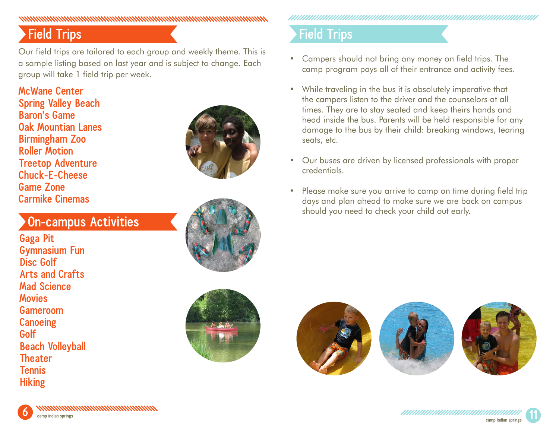#### nommuna anno anno 1970, ann an Carlotte ann an Carlotte ann an Carlotte ann an Carlotte anno 1970. Tha an coil

## **Field Trips**

Our field trips are tailored to each group and weekly theme. This is a sample listing based on last year and is subject to change. Each group will take 1 field trip per week.

**McWane Center Spring Valley Beach Baron's Game Oak Mountian Lanes Birmingham Zoo Roller Motion Treetop Adventure Chuck-E-Cheese Game Zone Carmike Cinemas**

#### **On-campus Activities**

**Gaga Pit Gymnasium Fun Disc Golf Arts and Crafts Mad Science Movies Gameroom Canoeing Golf Beach Volleyball Theater Tennis Hiking**





## **Field Trips**

- Campers should not bring any money on field trips. The camp program pays all of their entrance and activity fees.
- While traveling in the bus it is absolutely imperative that the campers listen to the driver and the counselors at all times. They are to stay seated and keep theirs hands and head inside the bus. Parents will be held responsible for any damage to the bus by their child: breaking windows, tearing seats, etc.
- Our buses are driven by licensed professionals with proper credentials.
- Please make sure you arrive to camp on time during field trip days and plan ahead to make sure we are back on campus should you need to check your child out early.



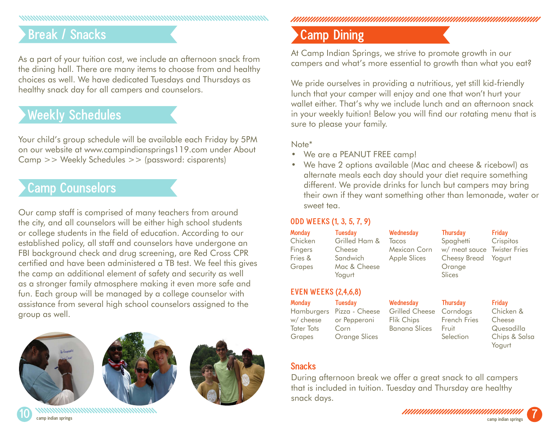## **Break / Snacks**

As a part of your tuition cost, we include an afternoon snack from the dining hall. There are many items to choose from and healthy choices as well. We have dedicated Tuesdays and Thursdays as healthy snack day for all campers and counselors.

### **Weekly Schedules**

Your child's group schedule will be available each Friday by 5PM on our website at www.campindiansprings119.com under About Camp >> Weekly Schedules >> (password: cisparents)

### **Camp Counselors**

Our camp staff is comprised of many teachers from around the city, and all counselors will be either high school students or college students in the field of education. According to our established policy, all staff and counselors have undergone an FBI background check and drug screening, are Red Cross CPR certified and have been administered a TB test. We feel this gives the camp an additional element of safety and security as well as a stronger family atmosphere making it even more safe and fun. Each group will be managed by a college counselor with assistance from several high school counselors assigned to the group as well.







**10 camp indian springs**

### **Camp Dining**

At Camp Indian Springs, we strive to promote growth in our campers and what's more essential to growth than what you eat?

We pride ourselves in providing a nutritious, yet still kid-friendly lunch that your camper will enjoy and one that won't hurt your wallet either. That's why we include lunch and an afternoon snack in your weekly tuition! Below you will find our rotating menu that is sure to please your family.

#### Note\*

- We are a PEANUT FREE camp!
- We have 2 options available (Mac and cheese & ricebowl) as alternate meals each day should your diet require something different. We provide drinks for lunch but campers may bring their own if they want something other than lemonade, water or sweet tea.

#### **ODD WEEKS (1, 3, 5, 7, 9)**

| Monday  | Tuesday       | Wednesday    | Thursday                    | Friday    |
|---------|---------------|--------------|-----------------------------|-----------|
| Chicken | Grilled Ham & | Tacos        | Spaghetti                   | Crispitos |
| Fingers | Cheese        | Mexican Corn | w/ meat sauce Twister Fries |           |
| Fries & | Sandwich      | Apple Slices | Cheesy Bread Yogurt         |           |
| Grapes  | Mac & Cheese  |              | Orange                      |           |
|         | Yogurt        |              | <b>Slices</b>               |           |

#### **EVEN WEEKS (2,4,6,8)**

**Monday** Hamburgers Pizza - Cheese w/ cheese Tater Tots Grapes **Tuesday** or Pepperoni Corn Orange Slices

**Wednesday** Grilled Cheese Corndogs Flik Chips Banana Slices **Thursday** French Fries Fruit Selection

**Friday**

Chicken & Cheese Quesadilla Chips & Salsa Yogurt

#### **Snacks**

During afternoon break we offer a great snack to all campers that is included in tuition. Tuesday and Thursday are healthy snack days.